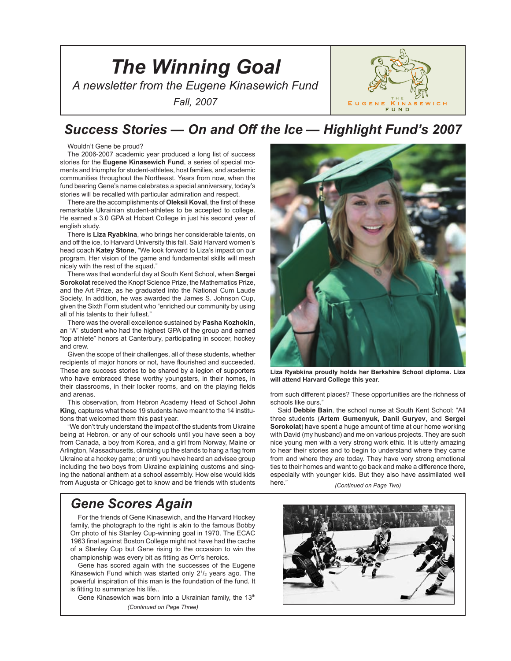



## *Success Stories — On and Off the Ice — Highlight Fund's 2007*

Wouldn't Gene be proud?

The 2006-2007 academic year produced a long list of success stories for the **Eugene Kinasewich Fund**, a series of special moments and triumphs for student-athletes, host families, and academic communities throughout the Northeast. Years from now, when the fund bearing Gene's name celebrates a special anniversary, today's stories will be recalled with particular admiration and respect.

There are the accomplishments of **Oleksii Koval**, the first of these remarkable Ukrainian student-athletes to be accepted to college. He earned a 3.0 GPA at Hobart College in just his second year of english study.

There is **Liza Ryabkina**, who brings her considerable talents, on and off the ice, to Harvard University this fall. Said Harvard women's head coach **Katey Stone**, "We look forward to Liza's impact on our program. Her vision of the game and fundamental skills will mesh nicely with the rest of the squad."

There was that wonderful day at South Kent School, when **Sergei Sorokolat** received the Knopf Science Prize, the Mathematics Prize, and the Art Prize, as he graduated into the National Cum Laude Society. In addition, he was awarded the James S. Johnson Cup, given the Sixth Form student who "enriched our community by using all of his talents to their fullest."

There was the overall excellence sustained by **Pasha Kozhokin**, an "A" student who had the highest GPA of the group and earned "top athlete" honors at Canterbury, participating in soccer, hockey and crew.

Given the scope of their challenges, all of these students, whether recipients of major honors or not, have flourished and succeeded. These are success stories to be shared by a legion of supporters who have embraced these worthy youngsters, in their homes, in their classrooms, in their locker rooms, and on the playing fields and arenas.

This observation, from Hebron Academy Head of School **John King**, captures what these 19 students have meant to the 14 institutions that welcomed them this past year.

"We don't truly understand the impact of the students from Ukraine being at Hebron, or any of our schools until you have seen a boy from Canada, a boy from Korea, and a girl from Norway, Maine or Arlington, Massachusetts, climbing up the stands to hang a flag from Ukraine at a hockey game; or until you have heard an advisee group including the two boys from Ukraine explaining customs and singing the national anthem at a school assembly. How else would kids from Augusta or Chicago get to know and be friends with students

# *Gene Scores Again*

For the friends of Gene Kinasewich, and the Harvard Hockey family, the photograph to the right is akin to the famous Bobby Orr photo of his Stanley Cup-winning goal in 1970. The ECAC 1963 final against Boston College might not have had the cache of a Stanley Cup but Gene rising to the occasion to win the championship was every bit as fitting as Orr's heroics.

Gene has scored again with the successes of the Eugene Kinasewich Fund which was started only  $2^{1/2}$  years ago. The powerful inspiration of this man is the foundation of the fund. It is fitting to summarize his life..

Gene Kinasewich was born into a Ukrainian family, the 13<sup>th</sup> *(Continued on Page Three)*



**Liza Ryabkina proudly holds her Berkshire School diploma. Liza will attend Harvard College this year.**

from such different places? These opportunities are the richness of schools like ours."

Said **Debbie Bain**, the school nurse at South Kent School: "All three students (**Artem Gumenyuk, Danil Guryev**, and **Sergei Sorokolat**) have spent a huge amount of time at our home working with David (my husband) and me on various projects. They are such nice young men with a very strong work ethic. It is utterly amazing to hear their stories and to begin to understand where they came from and where they are today. They have very strong emotional ties to their homes and want to go back and make a difference there, especially with younger kids. But they also have assimilated well here." *(Continued on Page Two)*

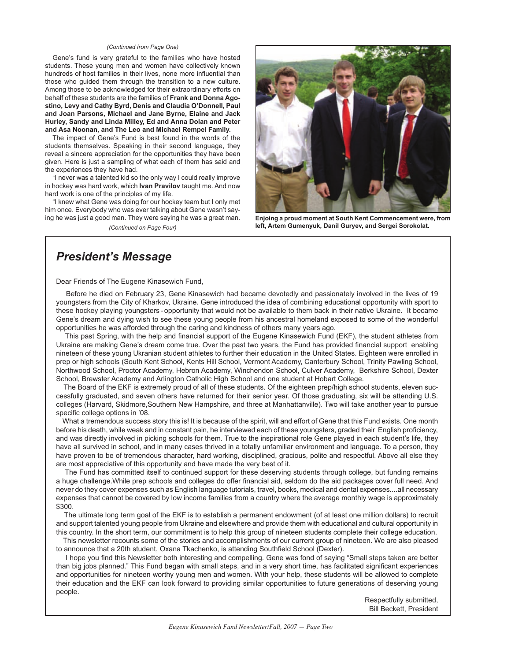#### *(Continued from Page One)*

Gene's fund is very grateful to the families who have hosted students. These young men and women have collectively known hundreds of host families in their lives, none more influential than those who guided them through the transition to a new culture. Among those to be acknowledged for their extraordinary efforts on behalf of these students are the families of **Frank and Donna Agostino, Levy and Cathy Byrd, Denis and Claudia O'Donnell, Paul and Joan Parsons, Michael and Jane Byrne, Elaine and Jack Hurley, Sandy and Linda Milley, Ed and Anna Dolan and Peter and Asa Noonan, and The Leo and Michael Rempel Family.**

The impact of Gene's Fund is best found in the words of the students themselves. Speaking in their second language, they reveal a sincere appreciation for the opportunities they have been given. Here is just a sampling of what each of them has said and the experiences they have had.

"I never was a talented kid so the only way I could really improve in hockey was hard work, which **Ivan Pravilov** taught me. And now hard work is one of the principles of my life.

"I knew what Gene was doing for our hockey team but I only met him once. Everybody who was ever talking about Gene wasn't saying he was just a good man. They were saying he was a great man. *(Continued on Page Four)*



**Enjoing a proud moment at South Kent Commencement were, from left, Artem Gumenyuk, Danil Guryev, and Sergei Sorokolat.**

## *President's Message*

Dear Friends of The Eugene Kinasewich Fund,

 Before he died on February 23, Gene Kinasewich had became devotedly and passionately involved in the lives of 19 youngsters from the City of Kharkov, Ukraine. Gene introduced the idea of combining educational opportunity with sport to these hockey playing youngsters - opportunity that would not be available to them back in their native Ukraine. It became Gene's dream and dying wish to see these young people from his ancestral homeland exposed to some of the wonderful opportunities he was afforded through the caring and kindness of others many years ago.

 This past Spring, with the help and financial support of the Eugene Kinasewich Fund (EKF), the student athletes from Ukraine are making Gene's dream come true. Over the past two years, the Fund has provided financial support enabling nineteen of these young Ukranian student athletes to further their education in the United States. Eighteen were enrolled in prep or high schools (South Kent School, Kents Hill School, Vermont Academy, Canterbury School, Trinity Pawling School, Northwood School, Proctor Academy, Hebron Academy, Winchendon School, Culver Academy, Berkshire School, Dexter School, Brewster Academy and Arlington Catholic High School and one student at Hobart College.

The Board of the EKF is extremely proud of all of these students. Of the eighteen prep/high school students, eleven successfully graduated, and seven others have returned for their senior year. Of those graduating, six will be attending U.S. colleges (Harvard, Skidmore,Southern New Hampshire, and three at Manhattanville). Two will take another year to pursue specific college options in '08.

What a tremendous success story this is! It is because of the spirit, will and effort of Gene that this Fund exists. One month before his death, while weak and in constant pain, he interviewed each of these youngsters, graded their English proficiency, and was directly involved in picking schools for them. True to the inspirational role Gene played in each student's life, they have all survived in school, and in many cases thrived in a totally unfamiliar environment and language. To a person, they have proven to be of tremendous character, hard working, disciplined, gracious, polite and respectful. Above all else they are most appreciative of this opportunity and have made the very best of it.

 The Fund has committed itself to continued support for these deserving students through college, but funding remains a huge challenge.While prep schools and colleges do offer financial aid, seldom do the aid packages cover full need. And never do they cover expenses such as English language tutorials, travel, books, medical and dental expenses....all necessary expenses that cannot be covered by low income families from a country where the average monthly wage is approximately \$300.

 The ultimate long term goal of the EKF is to establish a permanent endowment (of at least one million dollars) to recruit and support talented young people from Ukraine and elsewhere and provide them with educational and cultural opportunity in this country. In the short term, our commitment is to help this group of nineteen students complete their college education.

 This newsletter recounts some of the stories and accomplishments of our current group of nineteen. We are also pleased to announce that a 20th student, Oxana Tkachenko, is attending Southfield School (Dexter).

 I hope you find this Newsletter both interesting and compelling. Gene was fond of saying "Small steps taken are better than big jobs planned." This Fund began with small steps, and in a very short time, has facilitated significant experiences and opportunities for nineteen worthy young men and women. With your help, these students will be allowed to complete their education and the EKF can look forward to providing similar opportunities to future generations of deserving young people.

Respectfully submitted, Bill Beckett, President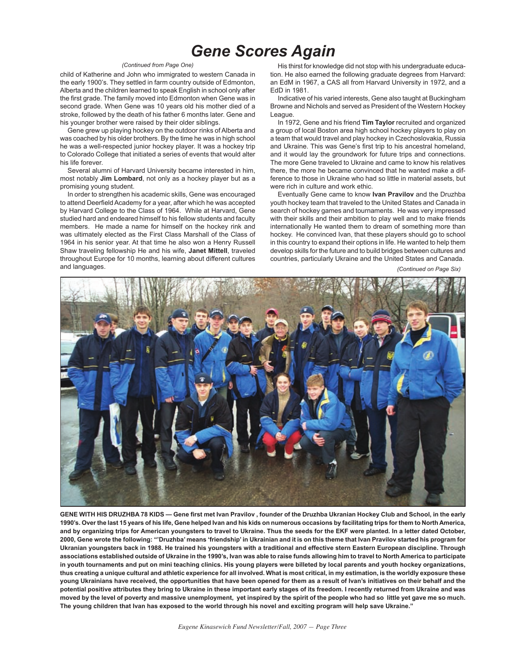# *Gene Scores Again*

#### *(Continued from Page One)*

child of Katherine and John who immigrated to western Canada in the early 1900's. They settled in farm country outside of Edmonton, Alberta and the children learned to speak English in school only after the first grade. The family moved into Edmonton when Gene was in second grade. When Gene was 10 years old his mother died of a stroke, followed by the death of his father 6 months later. Gene and his younger brother were raised by their older siblings.

Gene grew up playing hockey on the outdoor rinks of Alberta and was coached by his older brothers. By the time he was in high school he was a well-respected junior hockey player. It was a hockey trip to Colorado College that initiated a series of events that would alter his life forever.

Several alumni of Harvard University became interested in him, most notably **Jim Lombard**, not only as a hockey player but as a promising young student.

In order to strengthen his academic skills, Gene was encouraged to attend Deerfield Academy for a year, after which he was accepted by Harvard College to the Class of 1964. While at Harvard, Gene studied hard and endeared himself to his fellow students and faculty members. He made a name for himself on the hockey rink and was ultimately elected as the First Class Marshall of the Class of 1964 in his senior year. At that time he also won a Henry Russell Shaw traveling fellowship He and his wife, **Janet Mittell**, traveled throughout Europe for 10 months, learning about different cultures and languages.

His thirst for knowledge did not stop with his undergraduate education. He also earned the following graduate degrees from Harvard: an EdM in 1967, a CAS all from Harvard University in 1972, and a EdD in 1981.

Indicative of his varied interests, Gene also taught at Buckingham Browne and Nichols and served as President of the Western Hockey League.

In 1972, Gene and his friend **Tim Taylor** recruited and organized a group of local Boston area high school hockey players to play on a team that would travel and play hockey in Czechoslovakia, Russia and Ukraine. This was Gene's first trip to his ancestral homeland, and it would lay the groundwork for future trips and connections. The more Gene traveled to Ukraine and came to know his relatives there, the more he became convinced that he wanted make a difference to those in Ukraine who had so little in material assets, but were rich in culture and work ethic.

Eventually Gene came to know **Ivan Pravilov** and the Druzhba youth hockey team that traveled to the United States and Canada in search of hockey games and tournaments. He was very impressed with their skills and their ambition to play well and to make friends internationally He wanted them to dream of something more than hockey. He convinced Ivan, that these players should go to school in this country to expand their options in life. He wanted to help them develop skills for the future and to build bridges between cultures and countries, particularly Ukraine and the United States and Canada.

*(Continued on Page Six)*



**GENE WITH HIS DRUZHBA 78 KIDS — Gene first met Ivan Pravilov , founder of the Druzhba Ukranian Hockey Club and School, in the early 1990's. Over the last 15 years of his life, Gene helped Ivan and his kids on numerous occasions by facilitating trips for them to North America, and by organizing trips for American youngsters to travel to Ukraine. Thus the seeds for the EKF were planted. In a letter dated October, 2000, Gene wrote the following: "'Druzhba' means 'friendship' in Ukrainian and it is on this theme that Ivan Pravilov started his program for Ukranian youngsters back in 1988. He trained his youngsters with a traditional and effective stern Eastern European discipline. Through**  associations established outside of Ukraine in the 1990's, Ivan was able to raise funds allowing him to travel to North America to participate **in youth tournaments and put on mini teaching clinics. His young players were billeted by local parents and youth hockey organizations, thus creating a unique cultural and athletic experience for all involved. What is most critical, in my estimation, is the worldly exposure these young Ukrainians have received, the opportunities that have been opened for them as a result of Ivan's initiatives on their behalf and the potential positive attributes they bring to Ukraine in these important early stages of its freedom. I recently returned from Ukraine and was moved by the level of poverty and massive unemployment, yet inspired by the spirit of the people who had so little yet gave me so much. The young children that Ivan has exposed to the world through his novel and exciting program will help save Ukraine."**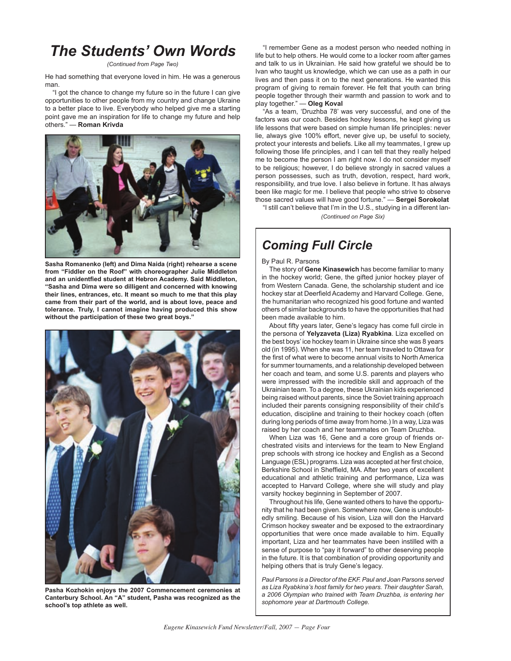# *The Students' Own Words*

#### *(Continued from Page Two)*

He had something that everyone loved in him. He was a generous man.

"I got the chance to change my future so in the future I can give opportunities to other people from my country and change Ukraine to a better place to live. Everybody who helped give me a starting point gave me an inspiration for life to change my future and help others." — **Roman Krivda**



**Sasha Romanenko (left) and Dima Naida (right) rehearse a scene from "Fiddler on the Roof" with choreographer Julie Middleton and an unidentfied student at Hebron Academy. Said Middleton, "Sasha and Dima were so dilligent and concerned with knowing their lines, entrances, etc. It meant so much to me that this play came from their part of the world, and is about love, peace and tolerance. Truly, I cannot imagine having produced this show without the participation of these two great boys."**



**Pasha Kozhokin enjoys the 2007 Commencement ceremonies at Canterbury School. An "A" student, Pasha was recognized as the school's top athlete as well.**

"I remember Gene as a modest person who needed nothing in life but to help others. He would come to a locker room after games and talk to us in Ukrainian. He said how grateful we should be to Ivan who taught us knowledge, which we can use as a path in our lives and then pass it on to the next generations. He wanted this program of giving to remain forever. He felt that youth can bring people together through their warmth and passion to work and to play together." — **Oleg Koval**

"As a team, 'Druzhba 78' was very successful, and one of the factors was our coach. Besides hockey lessons, he kept giving us life lessons that were based on simple human life principles: never lie, always give 100% effort, never give up, be useful to society, protect your interests and beliefs. Like all my teammates, I grew up following those life principles, and I can tell that they really helped me to become the person I am right now. I do not consider myself to be religious; however, I do believe strongly in sacred values a person possesses, such as truth, devotion, respect, hard work, responsibility, and true love. I also believe in fortune. It has always been like magic for me. I believe that people who strive to observe those sacred values will have good fortune." — **Sergei Sorokolat**

*(Continued on Page Six)* "I still can't believe that I'm in the U.S., studying in a different lan-

## *Coming Full Circle*

#### By Paul R. Parsons

The story of **Gene Kinasewich** has become familiar to many in the hockey world; Gene, the gifted junior hockey player of from Western Canada. Gene, the scholarship student and ice hockey star at Deerfield Academy and Harvard College. Gene, the humanitarian who recognized his good fortune and wanted others of similar backgrounds to have the opportunities that had been made available to him.

About fifty years later, Gene's legacy has come full circle in the persona of **Yelyzaveta (Liza) Ryabkina**. Liza excelled on the best boys' ice hockey team in Ukraine since she was 8 years old (in 1995). When she was 11, her team traveled to Ottawa for the first of what were to become annual visits to North America for summer tournaments, and a relationship developed between her coach and team, and some U.S. parents and players who were impressed with the incredible skill and approach of the Ukrainian team. To a degree, these Ukrainian kids experienced being raised without parents, since the Soviet training approach included their parents consigning responsibility of their child's education, discipline and training to their hockey coach (often during long periods of time away from home.) In a way, Liza was raised by her coach and her teammates on Team Druzhba.

When Liza was 16, Gene and a core group of friends orchestrated visits and interviews for the team to New England prep schools with strong ice hockey and English as a Second Language (ESL) programs. Liza was accepted at her first choice, Berkshire School in Sheffield, MA. After two years of excellent educational and athletic training and performance, Liza was accepted to Harvard College, where she will study and play varsity hockey beginning in September of 2007.

Throughout his life, Gene wanted others to have the opportunity that he had been given. Somewhere now, Gene is undoubtedly smiling. Because of his vision, Liza will don the Harvard Crimson hockey sweater and be exposed to the extraordinary opportunities that were once made available to him. Equally important, Liza and her teammates have been instilled with a sense of purpose to "pay it forward" to other deserving people in the future. It is that combination of providing opportunity and helping others that is truly Gene's legacy.

*Paul Parsons is a Director of the EKF. Paul and Joan Parsons served as Liza Ryabkina's host family for two years. Their daughter Sarah, a 2006 Olympian who trained with Team Druzhba, is entering her sophomore year at Dartmouth College.*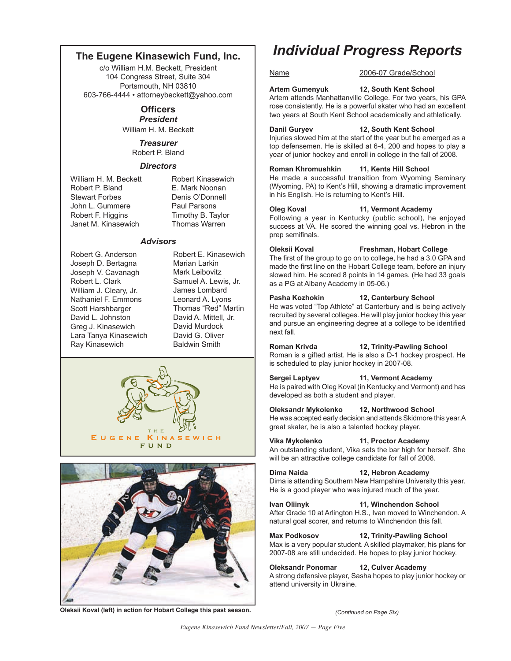### **The Eugene Kinasewich Fund, Inc.**

c/o William H.M. Beckett, President 104 Congress Street, Suite 304 Portsmouth, NH 03810 603-766-4444 • attorneybeckett@yahoo.com

#### **Officers** *President*

William H. M. Beckett

*Treasurer* Robert P. Bland

#### *Directors*

William H. M. Beckett Robert Kinasewich Robert P. Bland E. Mark Noonan Stewart Forbes **Denis O'Donnell**<br>
John L. Gummere Paul Parsons John L. Gummere Robert F. Higgins Timothy B. Taylor<br>Janet M. Kinasewich Thomas Warren Janet M. Kinasewich

#### *Advisors*

Robert G. Anderson Joseph D. Bertagna Joseph V. Cavanagh Robert L. Clark William J. Cleary, Jr. Nathaniel F. Emmons Scott Harshbarger David L. Johnston Greg J. Kinasewich Lara Tanya Kinasewich Ray Kinasewich

Robert E. Kinasewich Marian Larkin Mark Leibovitz Samuel A. Lewis, Jr. James Lombard Leonard A. Lyons Thomas "Red" Martin David A. Mittell, Jr. David Murdock David G. Oliver Baldwin Smith





#### **Oleksii Koval (left) in action for Hobart College this past season.**

# *Individual Progress Reports*

### Name 2006-07 Grade/School

**Artem Gumenyuk 12, South Kent School**

Artem attends Manhattanville College. For two years, his GPA rose consistently. He is a powerful skater who had an excellent two years at South Kent School academically and athletically.

**Danil Guryev 12, South Kent School** Injuries slowed him at the start of the year but he emerged as a top defensemen. He is skilled at 6-4, 200 and hopes to play a year of junior hockey and enroll in college in the fall of 2008.

#### **Roman Khromushkin 11, Kents Hill School**

He made a successful transition from Wyoming Seminary (Wyoming, PA) to Kent's Hill, showing a dramatic improvement in his English. He is returning to Kent's Hill.

**Oleg Koval 11, Vermont Academy** Following a year in Kentucky (public school), he enjoyed

success at VA. He scored the winning goal vs. Hebron in the prep semifinals.

## **Oleksii Koval Freshman, Hobart College**

The first of the group to go on to college, he had a 3.0 GPA and made the first line on the Hobart College team, before an injury slowed him. He scored 8 points in 14 games. (He had 33 goals as a PG at Albany Academy in 05-06.)

#### **Pasha Kozhokin 12, Canterbury School**

He was voted "Top Athlete" at Canterbury and is being actively recruited by several colleges. He will play junior hockey this year and pursue an engineering degree at a college to be identified next fall.

#### **Roman Krivda 12, Trinity-Pawling School**

Roman is a gifted artist. He is also a D-1 hockey prospect. He is scheduled to play junior hockey in 2007-08.

#### **Sergei Laptyev 11, Vermont Academy**

He is paired with Oleg Koval (in Kentucky and Vermont) and has developed as both a student and player.

#### **Oleksandr Mykolenko 12, Northwood School**

He was accepted early decision and attends Skidmore this year.A great skater, he is also a talented hockey player.

#### **Vika Mykolenko 11, Proctor Academy**

An outstanding student, Vika sets the bar high for herself. She will be an attractive college candidate for fall of 2008.

**Dima Naida 12, Hebron Academy**

Dima is attending Southern New Hampshire University this year. He is a good player who was injured much of the year.

### **Ivan Oliinyk 11, Winchendon School**

After Grade 10 at Arlington H.S., Ivan moved to Winchendon. A natural goal scorer, and returns to Winchendon this fall.

### **Max Podkosov 12, Trinity-Pawling School**

Max is a very popular student. A skilled playmaker, his plans for 2007-08 are still undecided. He hopes to play junior hockey.

**Oleksandr Ponomar 12, Culver Academy** A strong defensive player, Sasha hopes to play junior hockey or attend university in Ukraine.

*(Continued on Page Six)*